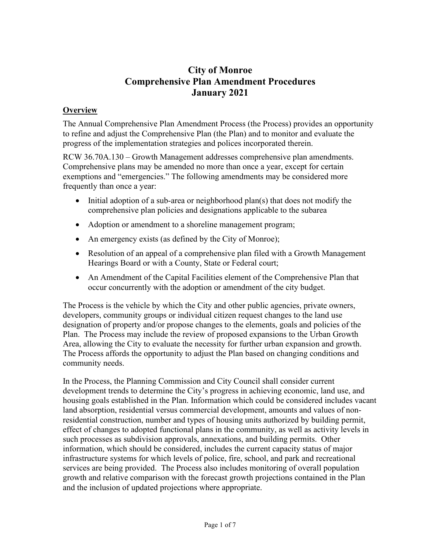# **City of Monroe Comprehensive Plan Amendment Procedures January 2021**

# **Overview**

The Annual Comprehensive Plan Amendment Process (the Process) provides an opportunity to refine and adjust the Comprehensive Plan (the Plan) and to monitor and evaluate the progress of the implementation strategies and polices incorporated therein.

RCW 36.70A.130 – Growth Management addresses comprehensive plan amendments. Comprehensive plans may be amended no more than once a year, except for certain exemptions and "emergencies." The following amendments may be considered more frequently than once a year:

- Initial adoption of a sub-area or neighborhood plan(s) that does not modify the comprehensive plan policies and designations applicable to the subarea
- Adoption or amendment to a shoreline management program;
- An emergency exists (as defined by the City of Monroe);
- Resolution of an appeal of a comprehensive plan filed with a Growth Management Hearings Board or with a County, State or Federal court;
- An Amendment of the Capital Facilities element of the Comprehensive Plan that occur concurrently with the adoption or amendment of the city budget.

The Process is the vehicle by which the City and other public agencies, private owners, developers, community groups or individual citizen request changes to the land use designation of property and/or propose changes to the elements, goals and policies of the Plan. The Process may include the review of proposed expansions to the Urban Growth Area, allowing the City to evaluate the necessity for further urban expansion and growth. The Process affords the opportunity to adjust the Plan based on changing conditions and community needs.

In the Process, the Planning Commission and City Council shall consider current development trends to determine the City's progress in achieving economic, land use, and housing goals established in the Plan. Information which could be considered includes vacant land absorption, residential versus commercial development, amounts and values of nonresidential construction, number and types of housing units authorized by building permit, effect of changes to adopted functional plans in the community, as well as activity levels in such processes as subdivision approvals, annexations, and building permits. Other information, which should be considered, includes the current capacity status of major infrastructure systems for which levels of police, fire, school, and park and recreational services are being provided. The Process also includes monitoring of overall population growth and relative comparison with the forecast growth projections contained in the Plan and the inclusion of updated projections where appropriate.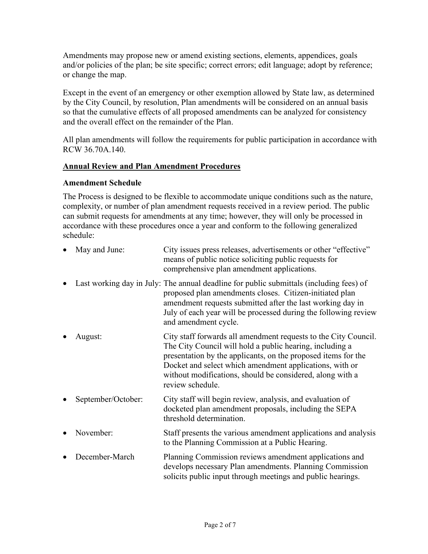Amendments may propose new or amend existing sections, elements, appendices, goals and/or policies of the plan; be site specific; correct errors; edit language; adopt by reference; or change the map.

Except in the event of an emergency or other exemption allowed by State law, as determined by the City Council, by resolution, Plan amendments will be considered on an annual basis so that the cumulative effects of all proposed amendments can be analyzed for consistency and the overall effect on the remainder of the Plan.

All plan amendments will follow the requirements for public participation in accordance with RCW 36.70A.140.

### **Annual Review and Plan Amendment Procedures**

### **Amendment Schedule**

The Process is designed to be flexible to accommodate unique conditions such as the nature, complexity, or number of plan amendment requests received in a review period. The public can submit requests for amendments at any time; however, they will only be processed in accordance with these procedures once a year and conform to the following generalized schedule:

| $\bullet$ | May and June:      | City issues press releases, advertisements or other "effective"<br>means of public notice soliciting public requests for<br>comprehensive plan amendment applications.                                                                                                                                                                   |
|-----------|--------------------|------------------------------------------------------------------------------------------------------------------------------------------------------------------------------------------------------------------------------------------------------------------------------------------------------------------------------------------|
|           |                    | Last working day in July: The annual deadline for public submittals (including fees) of<br>proposed plan amendments closes. Citizen-initiated plan<br>amendment requests submitted after the last working day in<br>July of each year will be processed during the following review<br>and amendment cycle.                              |
|           | August:            | City staff forwards all amendment requests to the City Council.<br>The City Council will hold a public hearing, including a<br>presentation by the applicants, on the proposed items for the<br>Docket and select which amendment applications, with or<br>without modifications, should be considered, along with a<br>review schedule. |
|           | September/October: | City staff will begin review, analysis, and evaluation of<br>docketed plan amendment proposals, including the SEPA<br>threshold determination.                                                                                                                                                                                           |
|           | November:          | Staff presents the various amendment applications and analysis<br>to the Planning Commission at a Public Hearing.                                                                                                                                                                                                                        |
|           | December-March     | Planning Commission reviews amendment applications and<br>develops necessary Plan amendments. Planning Commission<br>solicits public input through meetings and public hearings.                                                                                                                                                         |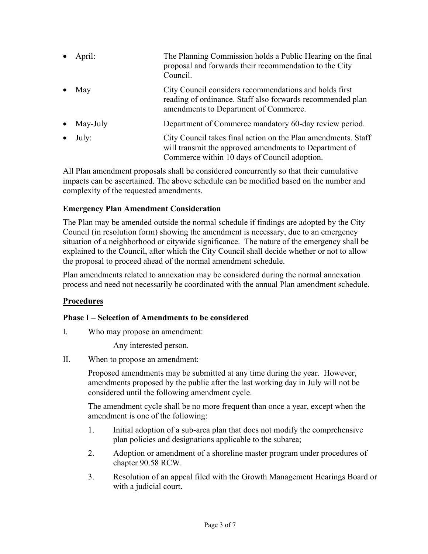• April: The Planning Commission holds a Public Hearing on the final proposal and forwards their recommendation to the City Council. May **Example 2.1 City Council considers recommendations and holds first** reading of ordinance. Staff also forwards recommended plan amendments to Department of Commerce. • May-July Department of Commerce mandatory 60-day review period. • July: City Council takes final action on the Plan amendments. Staff will transmit the approved amendments to Department of Commerce within 10 days of Council adoption.

All Plan amendment proposals shall be considered concurrently so that their cumulative impacts can be ascertained. The above schedule can be modified based on the number and complexity of the requested amendments.

# **Emergency Plan Amendment Consideration**

The Plan may be amended outside the normal schedule if findings are adopted by the City Council (in resolution form) showing the amendment is necessary, due to an emergency situation of a neighborhood or citywide significance. The nature of the emergency shall be explained to the Council, after which the City Council shall decide whether or not to allow the proposal to proceed ahead of the normal amendment schedule.

Plan amendments related to annexation may be considered during the normal annexation process and need not necessarily be coordinated with the annual Plan amendment schedule.

# **Procedures**

# **Phase I – Selection of Amendments to be considered**

I. Who may propose an amendment:

Any interested person.

II. When to propose an amendment:

Proposed amendments may be submitted at any time during the year. However, amendments proposed by the public after the last working day in July will not be considered until the following amendment cycle.

The amendment cycle shall be no more frequent than once a year, except when the amendment is one of the following:

- 1. Initial adoption of a sub-area plan that does not modify the comprehensive plan policies and designations applicable to the subarea;
- 2. Adoption or amendment of a shoreline master program under procedures of chapter 90.58 RCW.
- 3. Resolution of an appeal filed with the Growth Management Hearings Board or with a judicial court.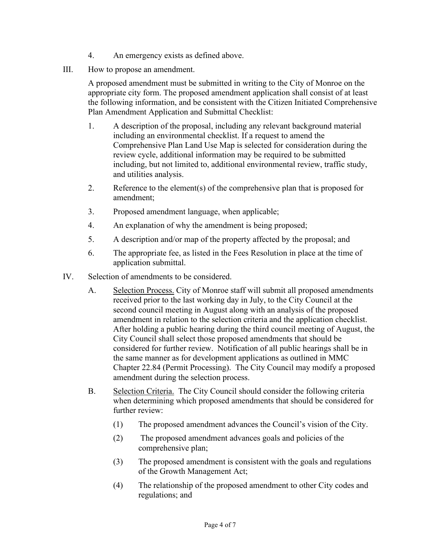- 4. An emergency exists as defined above.
- III. How to propose an amendment.

A proposed amendment must be submitted in writing to the City of Monroe on the appropriate city form. The proposed amendment application shall consist of at least the following information, and be consistent with the Citizen Initiated Comprehensive Plan Amendment Application and Submittal Checklist:

- 1. A description of the proposal, including any relevant background material including an environmental checklist. If a request to amend the Comprehensive Plan Land Use Map is selected for consideration during the review cycle, additional information may be required to be submitted including, but not limited to, additional environmental review, traffic study, and utilities analysis.
- 2. Reference to the element(s) of the comprehensive plan that is proposed for amendment;
- 3. Proposed amendment language, when applicable;
- 4. An explanation of why the amendment is being proposed;
- 5. A description and/or map of the property affected by the proposal; and
- 6. The appropriate fee, as listed in the Fees Resolution in place at the time of application submittal.
- IV. Selection of amendments to be considered.
	- A. Selection Process. City of Monroe staff will submit all proposed amendments received prior to the last working day in July, to the City Council at the second council meeting in August along with an analysis of the proposed amendment in relation to the selection criteria and the application checklist. After holding a public hearing during the third council meeting of August, the City Council shall select those proposed amendments that should be considered for further review. Notification of all public hearings shall be in the same manner as for development applications as outlined in MMC Chapter 22.84 (Permit Processing). The City Council may modify a proposed amendment during the selection process.
	- B. Selection Criteria. The City Council should consider the following criteria when determining which proposed amendments that should be considered for further review:
		- (1) The proposed amendment advances the Council's vision of the City.
		- (2) The proposed amendment advances goals and policies of the comprehensive plan;
		- (3) The proposed amendment is consistent with the goals and regulations of the Growth Management Act;
		- (4) The relationship of the proposed amendment to other City codes and regulations; and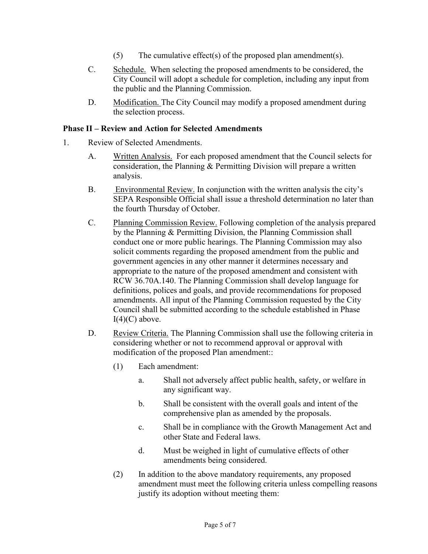- (5) The cumulative effect(s) of the proposed plan amendment(s).
- C. Schedule. When selecting the proposed amendments to be considered, the City Council will adopt a schedule for completion, including any input from the public and the Planning Commission.
- D. Modification. The City Council may modify a proposed amendment during the selection process.

# **Phase II – Review and Action for Selected Amendments**

- 1. Review of Selected Amendments.
	- A. Written Analysis. For each proposed amendment that the Council selects for consideration, the Planning & Permitting Division will prepare a written analysis.
	- B. Environmental Review. In conjunction with the written analysis the city's SEPA Responsible Official shall issue a threshold determination no later than the fourth Thursday of October.
	- C. Planning Commission Review. Following completion of the analysis prepared by the Planning & Permitting Division, the Planning Commission shall conduct one or more public hearings. The Planning Commission may also solicit comments regarding the proposed amendment from the public and government agencies in any other manner it determines necessary and appropriate to the nature of the proposed amendment and consistent with RCW 36.70A.140. The Planning Commission shall develop language for definitions, polices and goals, and provide recommendations for proposed amendments. All input of the Planning Commission requested by the City Council shall be submitted according to the schedule established in Phase  $I(4)(C)$  above.
	- D. Review Criteria. The Planning Commission shall use the following criteria in considering whether or not to recommend approval or approval with modification of the proposed Plan amendment::
		- (1) Each amendment:
			- a. Shall not adversely affect public health, safety, or welfare in any significant way.
			- b. Shall be consistent with the overall goals and intent of the comprehensive plan as amended by the proposals.
			- c. Shall be in compliance with the Growth Management Act and other State and Federal laws.
			- d. Must be weighed in light of cumulative effects of other amendments being considered.
		- (2) In addition to the above mandatory requirements, any proposed amendment must meet the following criteria unless compelling reasons justify its adoption without meeting them: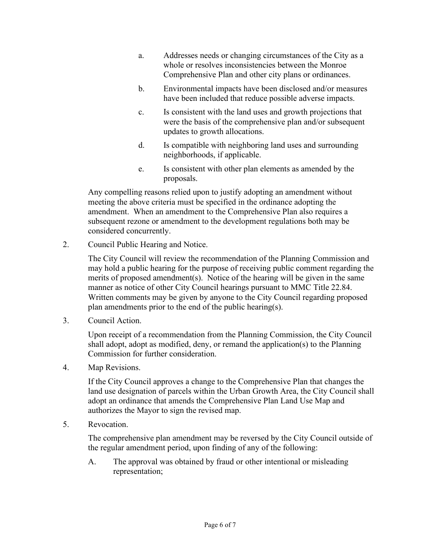- a. Addresses needs or changing circumstances of the City as a whole or resolves inconsistencies between the Monroe Comprehensive Plan and other city plans or ordinances.
- b. Environmental impacts have been disclosed and/or measures have been included that reduce possible adverse impacts.
- c. Is consistent with the land uses and growth projections that were the basis of the comprehensive plan and/or subsequent updates to growth allocations.
- d. Is compatible with neighboring land uses and surrounding neighborhoods, if applicable.
- e. Is consistent with other plan elements as amended by the proposals.

Any compelling reasons relied upon to justify adopting an amendment without meeting the above criteria must be specified in the ordinance adopting the amendment. When an amendment to the Comprehensive Plan also requires a subsequent rezone or amendment to the development regulations both may be considered concurrently.

2. Council Public Hearing and Notice.

The City Council will review the recommendation of the Planning Commission and may hold a public hearing for the purpose of receiving public comment regarding the merits of proposed amendment(s). Notice of the hearing will be given in the same manner as notice of other City Council hearings pursuant to MMC Title 22.84. Written comments may be given by anyone to the City Council regarding proposed plan amendments prior to the end of the public hearing(s).

3. Council Action.

Upon receipt of a recommendation from the Planning Commission, the City Council shall adopt, adopt as modified, deny, or remand the application(s) to the Planning Commission for further consideration.

4. Map Revisions.

If the City Council approves a change to the Comprehensive Plan that changes the land use designation of parcels within the Urban Growth Area, the City Council shall adopt an ordinance that amends the Comprehensive Plan Land Use Map and authorizes the Mayor to sign the revised map.

5. Revocation.

The comprehensive plan amendment may be reversed by the City Council outside of the regular amendment period, upon finding of any of the following:

A. The approval was obtained by fraud or other intentional or misleading representation;